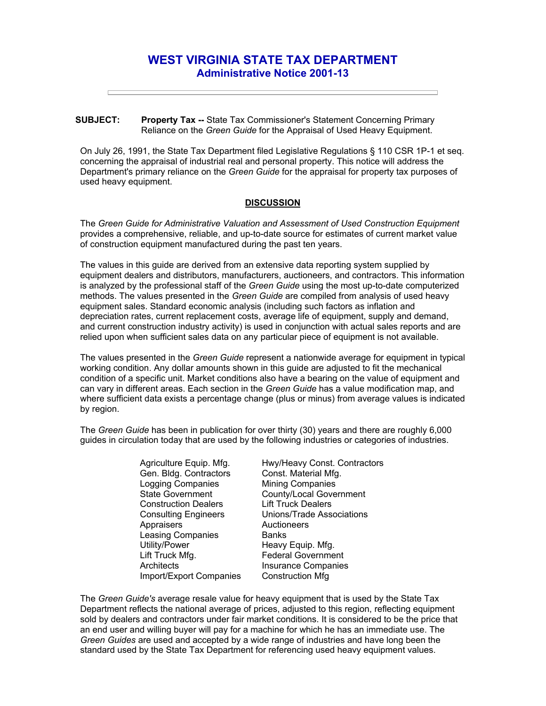## **WEST VIRGINIA STATE TAX DEPARTMENT Administrative Notice 2001-13**

## **SUBJECT: Property Tax --** State Tax Commissioner's Statement Concerning Primary Reliance on the *Green Guide* for the Appraisal of Used Heavy Equipment.

On July 26, 1991, the State Tax Department filed Legislative Regulations § 110 CSR 1P-1 et seq. concerning the appraisal of industrial real and personal property. This notice will address the Department's primary reliance on the *Green Guide* for the appraisal for property tax purposes of used heavy equipment.

## **DISCUSSION**

The *Green Guide for Administrative Valuation and Assessment of Used Construction Equipment*  provides a comprehensive, reliable, and up-to-date source for estimates of current market value of construction equipment manufactured during the past ten years.

The values in this guide are derived from an extensive data reporting system supplied by equipment dealers and distributors, manufacturers, auctioneers, and contractors. This information is analyzed by the professional staff of the *Green Guide* using the most up-to-date computerized methods. The values presented in the *Green Guide* are compiled from analysis of used heavy equipment sales. Standard economic analysis (including such factors as inflation and depreciation rates, current replacement costs, average life of equipment, supply and demand, and current construction industry activity) is used in conjunction with actual sales reports and are relied upon when sufficient sales data on any particular piece of equipment is not available.

The values presented in the *Green Guide* represent a nationwide average for equipment in typical working condition. Any dollar amounts shown in this guide are adjusted to fit the mechanical condition of a specific unit. Market conditions also have a bearing on the value of equipment and can vary in different areas. Each section in the *Green Guide* has a value modification map, and where sufficient data exists a percentage change (plus or minus) from average values is indicated by region.

The *Green Guide* has been in publication for over thirty (30) years and there are roughly 6,000 guides in circulation today that are used by the following industries or categories of industries.

> Agriculture Equip. Mfg. Gen. Bldg. Contractors Logging Companies State Government Construction Dealers Consulting Engineers **Appraisers** Leasing Companies Utility/Power Lift Truck Mfg. **Architects** Import/Export Companies

Hwy/Heavy Const. Contractors Const. Material Mfg. Mining Companies County/Local Government Lift Truck Dealers Unions/Trade Associations **Auctioneers Banks** Heavy Equip. Mfg. Federal Government Insurance Companies Construction Mfg

The *Green Guide's* average resale value for heavy equipment that is used by the State Tax Department reflects the national average of prices, adjusted to this region, reflecting equipment sold by dealers and contractors under fair market conditions. It is considered to be the price that an end user and willing buyer will pay for a machine for which he has an immediate use. The *Green Guides* are used and accepted by a wide range of industries and have long been the standard used by the State Tax Department for referencing used heavy equipment values.